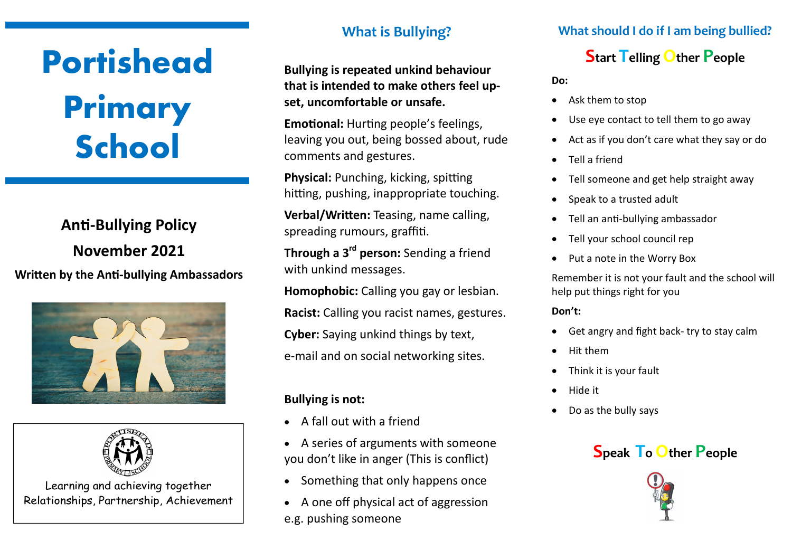# **Portishead Primary School**

# **Anti-Bullying Policy November 2021 Written by the Anti-bullying Ambassadors**





Learning and achieving together Relationships, Partnership, Achievement

### **What is Bullying?**

**Bullying is repeated unkind behaviour that is intended to make others feel upset, uncomfortable or unsafe.**

**Emotional:** Hurting people's feelings, leaving you out, being bossed about, rude comments and gestures.

**Physical:** Punching, kicking, spitting hitting, pushing, inappropriate touching.

**Verbal/Written:** Teasing, name calling, spreading rumours, graffiti.

**Through a 3rd person:** Sending a friend with unkind messages.

**Homophobic:** Calling you gay or lesbian. **Racist:** Calling you racist names, gestures. **Cyber:** Saying unkind things by text, e-mail and on social networking sites.

#### **Bullying is not:**

- A fall out with a friend
- A series of arguments with someone you don't like in anger (This is conflict)
- Something that only happens once
- A one off physical act of aggression e.g. pushing someone

#### **What should I do if I am being bullied?**

## **Start Telling Other People**

**Do:**

- Ask them to stop
- Use eye contact to tell them to go away
- Act as if you don't care what they say or do
- Tell a friend
- Tell someone and get help straight away
- Speak to a trusted adult
- Tell an anti-bullying ambassador
- Tell your school council rep
- Put a note in the Worry Box

Remember it is not your fault and the school will help put things right for you

**Don't:**

- Get angry and fight back- try to stay calm
- Hit them
- Think it is your fault
- Hide it
- Do as the bully says